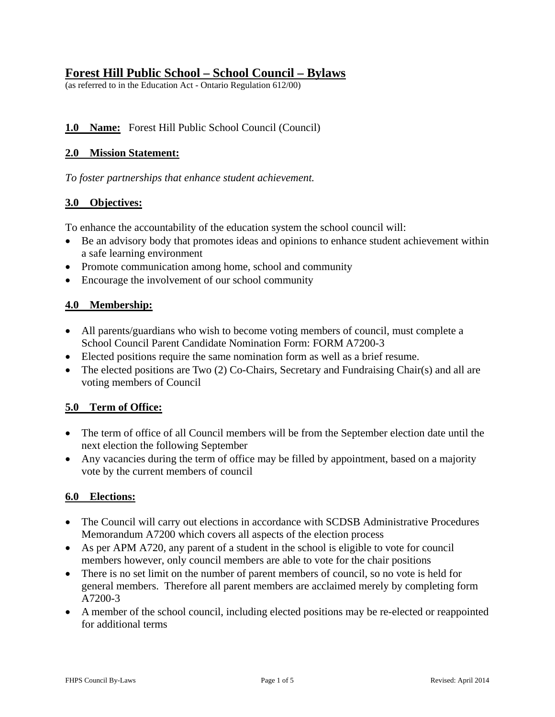# **Forest Hill Public School – School Council – Bylaws**

(as referred to in the Education Act - Ontario Regulation 612/00)

## **1.0 Name:** Forest Hill Public School Council (Council)

#### **2.0 Mission Statement:**

*To foster partnerships that enhance student achievement.*

#### **3.0 Objectives:**

To enhance the accountability of the education system the school council will:

- Be an advisory body that promotes ideas and opinions to enhance student achievement within a safe learning environment
- Promote communication among home, school and community
- Encourage the involvement of our school community

#### **4.0 Membership:**

- All parents/guardians who wish to become voting members of council, must complete a School Council Parent Candidate Nomination Form: FORM A7200-3
- Elected positions require the same nomination form as well as a brief resume.
- The elected positions are Two (2) Co-Chairs, Secretary and Fundraising Chair(s) and all are voting members of Council

## **5.0 Term of Office:**

- The term of office of all Council members will be from the September election date until the next election the following September
- Any vacancies during the term of office may be filled by appointment, based on a majority vote by the current members of council

#### **6.0 Elections:**

- The Council will carry out elections in accordance with SCDSB Administrative Procedures Memorandum A7200 which covers all aspects of the election process
- As per APM A720, any parent of a student in the school is eligible to vote for council members however, only council members are able to vote for the chair positions
- There is no set limit on the number of parent members of council, so no vote is held for general members. Therefore all parent members are acclaimed merely by completing form A7200-3
- A member of the school council, including elected positions may be re-elected or reappointed for additional terms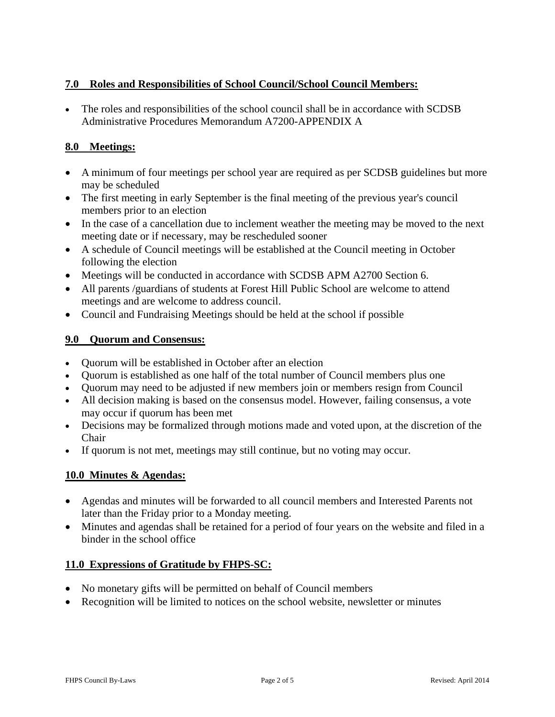## **7.0 Roles and Responsibilities of School Council/School Council Members:**

 The roles and responsibilities of the school council shall be in accordance with SCDSB Administrative Procedures Memorandum A7200-APPENDIX A

#### **8.0 Meetings:**

- A minimum of four meetings per school year are required as per SCDSB guidelines but more may be scheduled
- The first meeting in early September is the final meeting of the previous year's council members prior to an election
- In the case of a cancellation due to inclement weather the meeting may be moved to the next meeting date or if necessary, may be rescheduled sooner
- A schedule of Council meetings will be established at the Council meeting in October following the election
- Meetings will be conducted in accordance with SCDSB APM A2700 Section 6.
- All parents /guardians of students at Forest Hill Public School are welcome to attend meetings and are welcome to address council.
- Council and Fundraising Meetings should be held at the school if possible

#### **9.0 Quorum and Consensus:**

- Quorum will be established in October after an election
- Quorum is established as one half of the total number of Council members plus one
- Quorum may need to be adjusted if new members join or members resign from Council
- All decision making is based on the consensus model. However, failing consensus, a vote may occur if quorum has been met
- Decisions may be formalized through motions made and voted upon, at the discretion of the Chair
- If quorum is not met, meetings may still continue, but no voting may occur.

## **10.0 Minutes & Agendas:**

- Agendas and minutes will be forwarded to all council members and Interested Parents not later than the Friday prior to a Monday meeting.
- Minutes and agendas shall be retained for a period of four years on the website and filed in a binder in the school office

#### **11.0 Expressions of Gratitude by FHPS-SC:**

- No monetary gifts will be permitted on behalf of Council members
- Recognition will be limited to notices on the school website, newsletter or minutes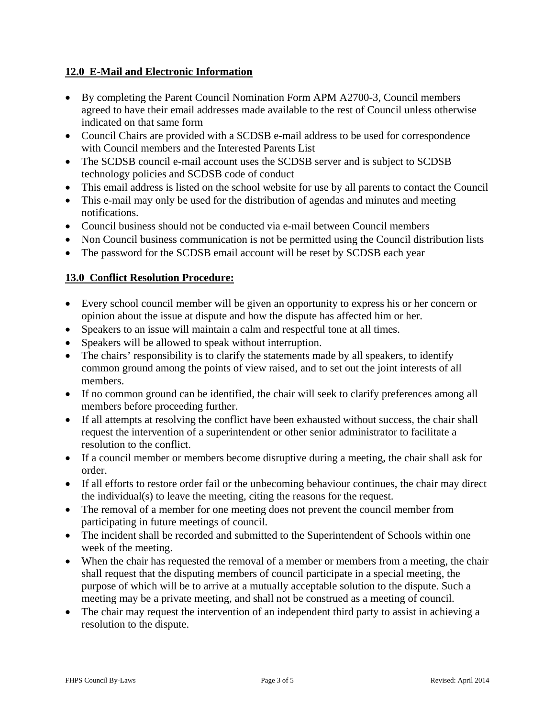## **12.0 E-Mail and Electronic Information**

- By completing the Parent Council Nomination Form APM A2700-3, Council members agreed to have their email addresses made available to the rest of Council unless otherwise indicated on that same form
- Council Chairs are provided with a SCDSB e-mail address to be used for correspondence with Council members and the Interested Parents List
- The SCDSB council e-mail account uses the SCDSB server and is subject to SCDSB technology policies and SCDSB code of conduct
- This email address is listed on the school website for use by all parents to contact the Council
- This e-mail may only be used for the distribution of agendas and minutes and meeting notifications.
- Council business should not be conducted via e-mail between Council members
- Non Council business communication is not be permitted using the Council distribution lists
- The password for the SCDSB email account will be reset by SCDSB each year

# **13.0 Conflict Resolution Procedure:**

- Every school council member will be given an opportunity to express his or her concern or opinion about the issue at dispute and how the dispute has affected him or her.
- Speakers to an issue will maintain a calm and respectful tone at all times.
- Speakers will be allowed to speak without interruption.
- The chairs' responsibility is to clarify the statements made by all speakers, to identify common ground among the points of view raised, and to set out the joint interests of all members.
- If no common ground can be identified, the chair will seek to clarify preferences among all members before proceeding further.
- If all attempts at resolving the conflict have been exhausted without success, the chair shall request the intervention of a superintendent or other senior administrator to facilitate a resolution to the conflict.
- If a council member or members become disruptive during a meeting, the chair shall ask for order.
- If all efforts to restore order fail or the unbecoming behaviour continues, the chair may direct the individual(s) to leave the meeting, citing the reasons for the request.
- The removal of a member for one meeting does not prevent the council member from participating in future meetings of council.
- The incident shall be recorded and submitted to the Superintendent of Schools within one week of the meeting.
- When the chair has requested the removal of a member or members from a meeting, the chair shall request that the disputing members of council participate in a special meeting, the purpose of which will be to arrive at a mutually acceptable solution to the dispute. Such a meeting may be a private meeting, and shall not be construed as a meeting of council.
- The chair may request the intervention of an independent third party to assist in achieving a resolution to the dispute.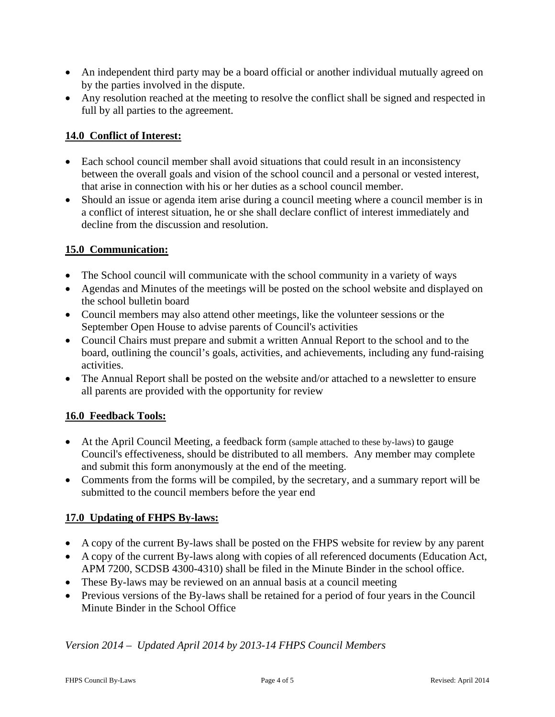- An independent third party may be a board official or another individual mutually agreed on by the parties involved in the dispute.
- Any resolution reached at the meeting to resolve the conflict shall be signed and respected in full by all parties to the agreement.

## **14.0 Conflict of Interest:**

- Each school council member shall avoid situations that could result in an inconsistency between the overall goals and vision of the school council and a personal or vested interest, that arise in connection with his or her duties as a school council member.
- Should an issue or agenda item arise during a council meeting where a council member is in a conflict of interest situation, he or she shall declare conflict of interest immediately and decline from the discussion and resolution.

# **15.0 Communication:**

- The School council will communicate with the school community in a variety of ways
- Agendas and Minutes of the meetings will be posted on the school website and displayed on the school bulletin board
- Council members may also attend other meetings, like the volunteer sessions or the September Open House to advise parents of Council's activities
- Council Chairs must prepare and submit a written Annual Report to the school and to the board, outlining the council's goals, activities, and achievements, including any fund-raising activities.
- The Annual Report shall be posted on the website and/or attached to a newsletter to ensure all parents are provided with the opportunity for review

## **16.0 Feedback Tools:**

- At the April Council Meeting, a feedback form (sample attached to these by-laws) to gauge Council's effectiveness, should be distributed to all members. Any member may complete and submit this form anonymously at the end of the meeting.
- Comments from the forms will be compiled, by the secretary, and a summary report will be submitted to the council members before the year end

## **17.0 Updating of FHPS By-laws:**

- A copy of the current By-laws shall be posted on the FHPS website for review by any parent
- A copy of the current By-laws along with copies of all referenced documents (Education Act, APM 7200, SCDSB 4300-4310) shall be filed in the Minute Binder in the school office.
- These By-laws may be reviewed on an annual basis at a council meeting
- Previous versions of the By-laws shall be retained for a period of four years in the Council Minute Binder in the School Office

## *Version 2014 – Updated April 2014 by 2013-14 FHPS Council Members*